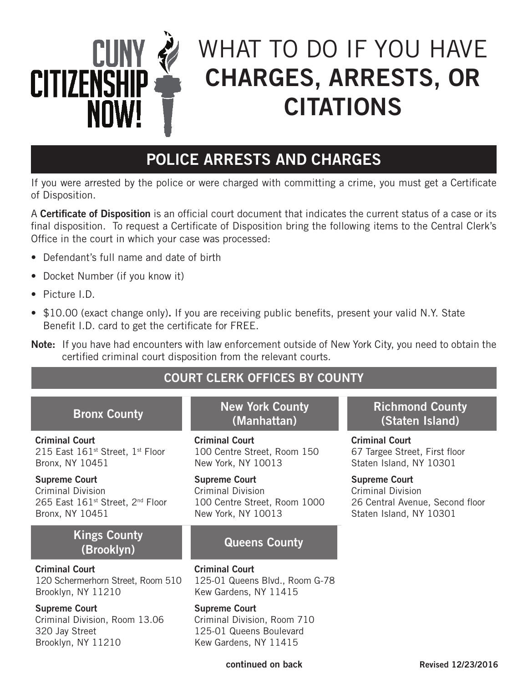

# WHAT TO DO IF YOU HAVE CHARGES, ARRESTS, OR CITATIONS

## POLICE ARRESTS AND CHARGES

If you were arrested by the police or were charged with committing a crime, you must get a Certificate of Disposition.

A Certificate of Disposition is an official court document that indicates the current status of a case or its final disposition. To request a Certificate of Disposition bring the following items to the Central Clerk's Office in the court in which your case was processed:

- Defendant's full name and date of birth
- Docket Number (if you know it)
- Picture I.D.
- \$10.00 (exact change only). If you are receiving public benefits, present your valid N.Y. State Benefit I.D. card to get the certificate for FREE.
- Note: If you have had encounters with law enforcement outside of New York City, you need to obtain the certified criminal court disposition from the relevant courts.

### COURT CLERK OFFICES BY COUNTY

Criminal Court 215 East 161st Street, 1st Floor Bronx, NY 10451

Supreme Court Criminal Division 265 East 161<sup>st</sup> Street, 2<sup>nd</sup> Floor Bronx, NY 10451

#### Kings County (Brooklyn) Queens County

#### Criminal Court

120 Schermerhorn Street, Room 510 Brooklyn, NY 11210

#### Supreme Court

Criminal Division, Room 13.06 320 Jay Street Brooklyn, NY 11210

### Bronx County New York County (Manhattan)

Criminal Court 100 Centre Street, Room 150 New York, NY 10013

Supreme Court Criminal Division 100 Centre Street, Room 1000 New York, NY 10013

Criminal Court 125-01 Queens Blvd., Room G-78 Kew Gardens, NY 11415

#### Supreme Court

Criminal Division, Room 710 125-01 Queens Boulevard Kew Gardens, NY 11415

### Richmond County (Staten Island)

Criminal Court 67 Targee Street, First floor Staten Island, NY 10301

Supreme Court Criminal Division 26 Central Avenue, Second floor Staten Island, NY 10301